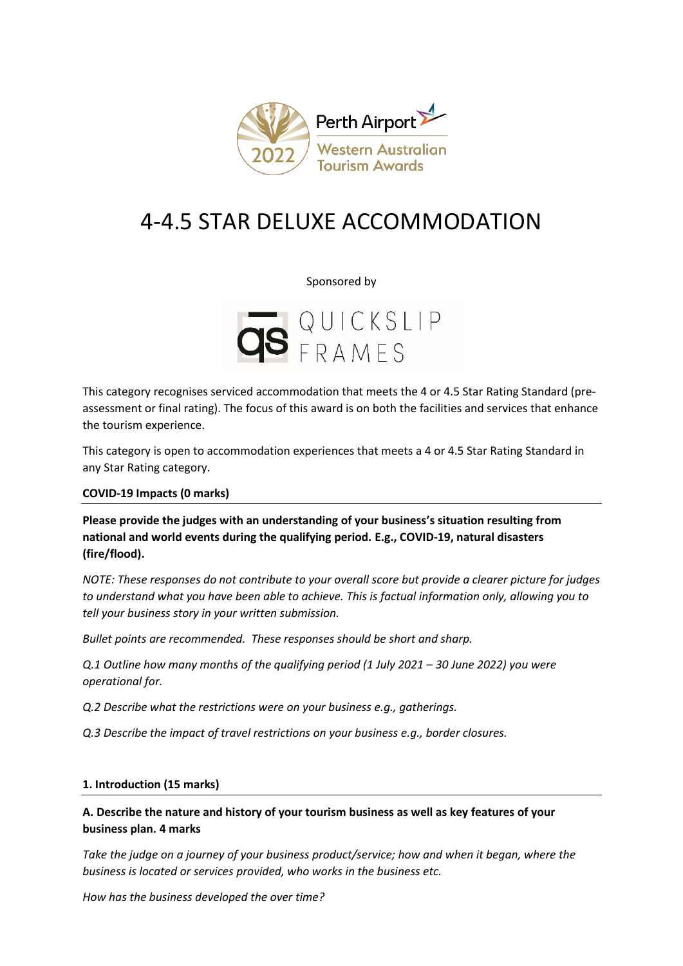

# 4-4.5 STAR DELUXE ACCOMMODATION

#### Sponsored by



This category recognises serviced accommodation that meets the 4 or 4.5 Star Rating Standard (preassessment or final rating). The focus of this award is on both the facilities and services that enhance the tourism experience.

This category is open to accommodation experiences that meets a 4 or 4.5 Star Rating Standard in any Star Rating category.

**COVID-19 Impacts (0 marks)** 

**Please provide the judges with an understanding of your business's situation resulting from national and world events during the qualifying period. E.g., COVID-19, natural disasters (fire/flood).**

*NOTE: These responses do not contribute to your overall score but provide a clearer picture for judges to understand what you have been able to achieve. This is factual information only, allowing you to tell your business story in your written submission.* 

*Bullet points are recommended. These responses should be short and sharp.*

*Q.1 Outline how many months of the qualifying period (1 July 2021 – 30 June 2022) you were operational for.*

*Q.2 Describe what the restrictions were on your business e.g., gatherings.*

*Q.3 Describe the impact of travel restrictions on your business e.g., border closures.*

#### **1. Introduction (15 marks)**

# **A. Describe the nature and history of your tourism business as well as key features of your business plan. 4 marks**

*Take the judge on a journey of your business product/service; how and when it began, where the business is located or services provided, who works in the business etc.*

*How has the business developed the over time?*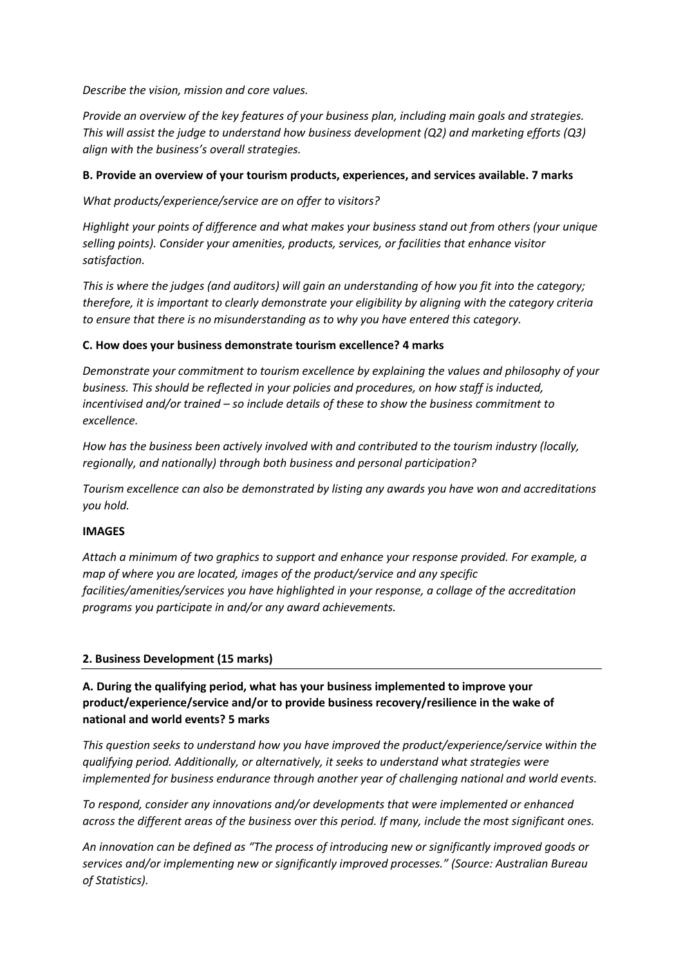*Describe the vision, mission and core values.* 

*Provide an overview of the key features of your business plan, including main goals and strategies. This will assist the judge to understand how business development (Q2) and marketing efforts (Q3) align with the business's overall strategies.* 

### **B. Provide an overview of your tourism products, experiences, and services available. 7 marks**

*What products/experience/service are on offer to visitors?*

*Highlight your points of difference and what makes your business stand out from others (your unique selling points). Consider your amenities, products, services, or facilities that enhance visitor satisfaction.*

*This is where the judges (and auditors) will gain an understanding of how you fit into the category; therefore, it is important to clearly demonstrate your eligibility by aligning with the category criteria to ensure that there is no misunderstanding as to why you have entered this category.*

#### **C. How does your business demonstrate tourism excellence? 4 marks**

*Demonstrate your commitment to tourism excellence by explaining the values and philosophy of your business. This should be reflected in your policies and procedures, on how staff is inducted, incentivised and/or trained – so include details of these to show the business commitment to excellence.*

*How has the business been actively involved with and contributed to the tourism industry (locally, regionally, and nationally) through both business and personal participation?*

*Tourism excellence can also be demonstrated by listing any awards you have won and accreditations you hold.* 

#### **IMAGES**

*Attach a minimum of two graphics to support and enhance your response provided. For example, a map of where you are located, images of the product/service and any specific facilities/amenities/services you have highlighted in your response, a collage of the accreditation programs you participate in and/or any award achievements.* 

## **2. Business Development (15 marks)**

# **A. During the qualifying period, what has your business implemented to improve your product/experience/service and/or to provide business recovery/resilience in the wake of national and world events? 5 marks**

*This question seeks to understand how you have improved the product/experience/service within the qualifying period. Additionally, or alternatively, it seeks to understand what strategies were implemented for business endurance through another year of challenging national and world events.* 

*To respond, consider any innovations and/or developments that were implemented or enhanced across the different areas of the business over this period. If many, include the most significant ones.*

*An innovation can be defined as "The process of introducing new or significantly improved goods or services and/or implementing new or significantly improved processes." (Source: Australian Bureau of Statistics).*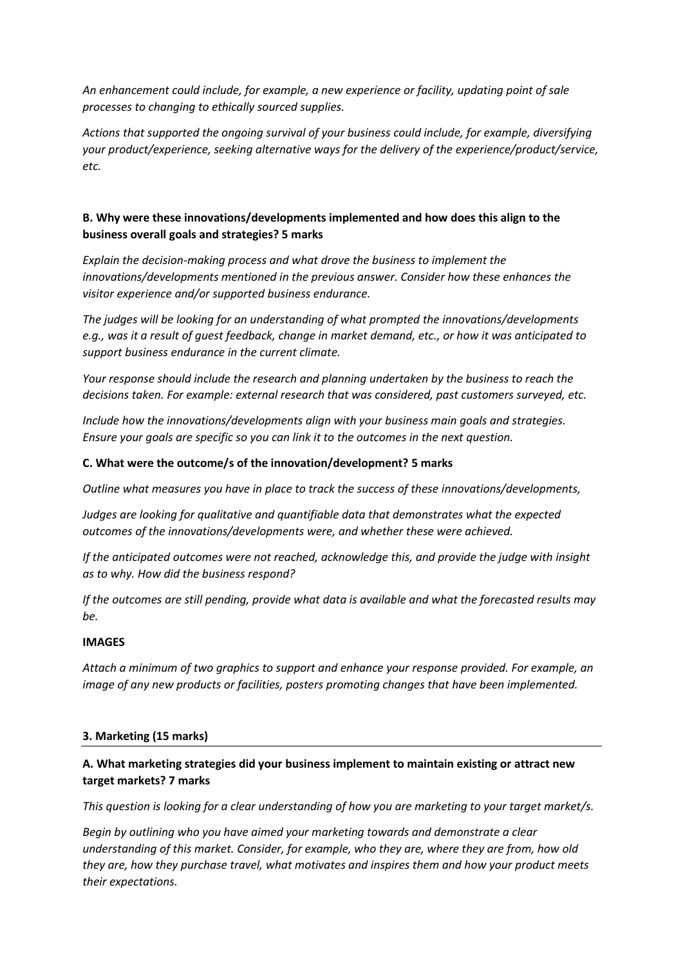*An enhancement could include, for example, a new experience or facility, updating point of sale processes to changing to ethically sourced supplies.* 

*Actions that supported the ongoing survival of your business could include, for example, diversifying your product/experience, seeking alternative ways for the delivery of the experience/product/service, etc.* 

# **B. Why were these innovations/developments implemented and how does this align to the business overall goals and strategies? 5 marks**

*Explain the decision-making process and what drove the business to implement the innovations/developments mentioned in the previous answer. Consider how these enhances the visitor experience and/or supported business endurance.* 

*The judges will be looking for an understanding of what prompted the innovations/developments e.g., was it a result of guest feedback, change in market demand, etc., or how it was anticipated to support business endurance in the current climate.*

*Your response should include the research and planning undertaken by the business to reach the decisions taken. For example: external research that was considered, past customers surveyed, etc.* 

*Include how the innovations/developments align with your business main goals and strategies. Ensure your goals are specific so you can link it to the outcomes in the next question.*

#### **C. What were the outcome/s of the innovation/development? 5 marks**

*Outline what measures you have in place to track the success of these innovations/developments,*

*Judges are looking for qualitative and quantifiable data that demonstrates what the expected outcomes of the innovations/developments were, and whether these were achieved.*

*If the anticipated outcomes were not reached, acknowledge this, and provide the judge with insight as to why. How did the business respond?*

*If the outcomes are still pending, provide what data is available and what the forecasted results may be.*

## **IMAGES**

*Attach a minimum of two graphics to support and enhance your response provided. For example, an image of any new products or facilities, posters promoting changes that have been implemented.* 

#### **3. Marketing (15 marks)**

## **A. What marketing strategies did your business implement to maintain existing or attract new target markets? 7 marks**

*This question is looking for a clear understanding of how you are marketing to your target market/s.*

*Begin by outlining who you have aimed your marketing towards and demonstrate a clear understanding of this market. Consider, for example, who they are, where they are from, how old they are, how they purchase travel, what motivates and inspires them and how your product meets their expectations.*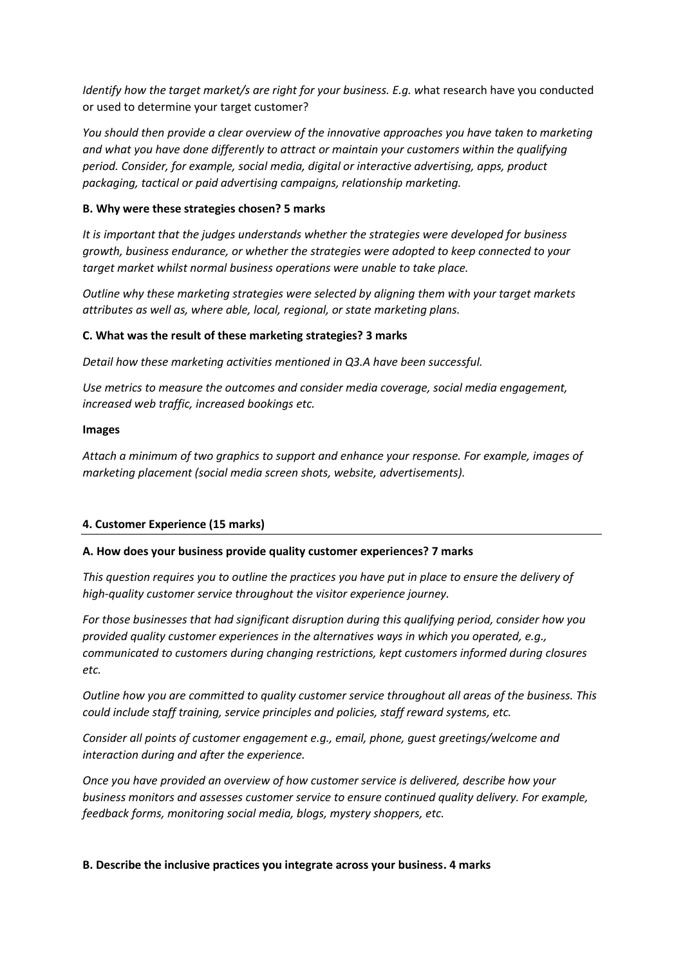*Identify how the target market/s are right for your business. E.g. w*hat research have you conducted or used to determine your target customer?

*You should then provide a clear overview of the innovative approaches you have taken to marketing and what you have done differently to attract or maintain your customers within the qualifying period. Consider, for example, social media, digital or interactive advertising, apps, product packaging, tactical or paid advertising campaigns, relationship marketing.*

#### **B. Why were these strategies chosen? 5 marks**

*It is important that the judges understands whether the strategies were developed for business growth, business endurance, or whether the strategies were adopted to keep connected to your target market whilst normal business operations were unable to take place.* 

*Outline why these marketing strategies were selected by aligning them with your target markets attributes as well as, where able, local, regional, or state marketing plans.* 

#### **C. What was the result of these marketing strategies? 3 marks**

*Detail how these marketing activities mentioned in Q3.A have been successful.* 

*Use metrics to measure the outcomes and consider media coverage, social media engagement, increased web traffic, increased bookings etc.* 

#### **Images**

*Attach a minimum of two graphics to support and enhance your response. For example, images of marketing placement (social media screen shots, website, advertisements).*

## **4. Customer Experience (15 marks)**

## **A. How does your business provide quality customer experiences? 7 marks**

*This question requires you to outline the practices you have put in place to ensure the delivery of high-quality customer service throughout the visitor experience journey.* 

*For those businesses that had significant disruption during this qualifying period, consider how you provided quality customer experiences in the alternatives ways in which you operated, e.g., communicated to customers during changing restrictions, kept customers informed during closures etc.*

*Outline how you are committed to quality customer service throughout all areas of the business. This could include staff training, service principles and policies, staff reward systems, etc.* 

*Consider all points of customer engagement e.g., email, phone, guest greetings/welcome and interaction during and after the experience.*

*Once you have provided an overview of how customer service is delivered, describe how your business monitors and assesses customer service to ensure continued quality delivery. For example, feedback forms, monitoring social media, blogs, mystery shoppers, etc.* 

#### **B. Describe the inclusive practices you integrate across your business. 4 marks**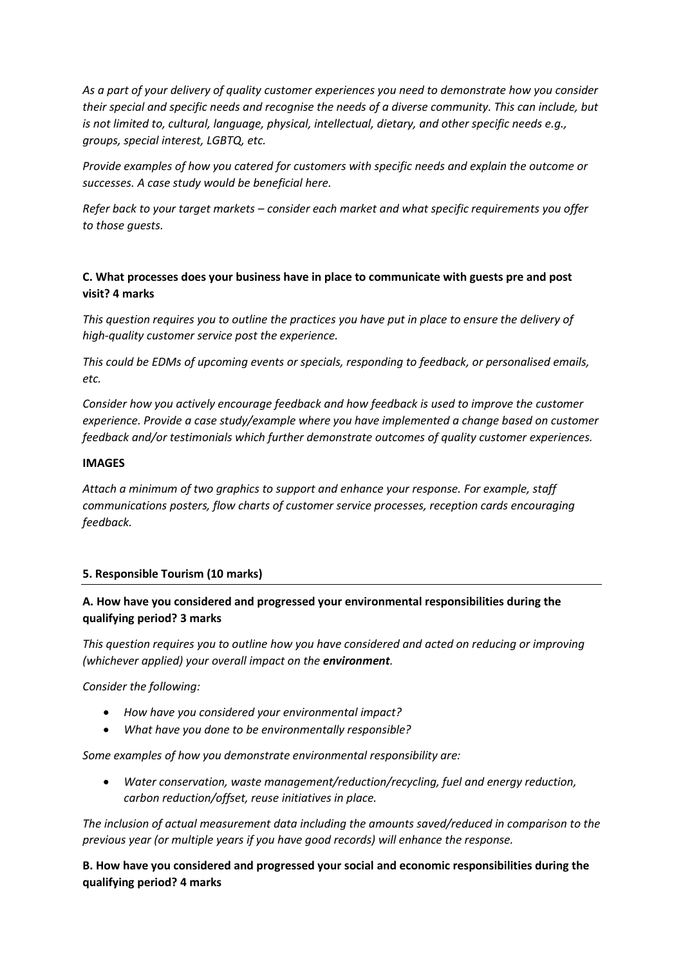*As a part of your delivery of quality customer experiences you need to demonstrate how you consider their special and specific needs and recognise the needs of a diverse community. This can include, but is not limited to, cultural, language, physical, intellectual, dietary, and other specific needs e.g., groups, special interest, LGBTQ, etc.*

*Provide examples of how you catered for customers with specific needs and explain the outcome or successes. A case study would be beneficial here.* 

*Refer back to your target markets – consider each market and what specific requirements you offer to those guests.*

## **C. What processes does your business have in place to communicate with guests pre and post visit? 4 marks**

*This question requires you to outline the practices you have put in place to ensure the delivery of high-quality customer service post the experience.* 

*This could be EDMs of upcoming events or specials, responding to feedback, or personalised emails, etc.*

*Consider how you actively encourage feedback and how feedback is used to improve the customer experience. Provide a case study/example where you have implemented a change based on customer feedback and/or testimonials which further demonstrate outcomes of quality customer experiences.* 

#### **IMAGES**

*Attach a minimum of two graphics to support and enhance your response. For example, staff communications posters, flow charts of customer service processes, reception cards encouraging feedback.* 

#### **5. Responsible Tourism (10 marks)**

## **A. How have you considered and progressed your environmental responsibilities during the qualifying period? 3 marks**

*This question requires you to outline how you have considered and acted on reducing or improving (whichever applied) your overall impact on the environment.* 

*Consider the following:*

- *How have you considered your environmental impact?*
- *What have you done to be environmentally responsible?*

*Some examples of how you demonstrate environmental responsibility are:*

• *Water conservation, waste management/reduction/recycling, fuel and energy reduction, carbon reduction/offset, reuse initiatives in place.*

*The inclusion of actual measurement data including the amounts saved/reduced in comparison to the previous year (or multiple years if you have good records) will enhance the response.*

**B. How have you considered and progressed your social and economic responsibilities during the qualifying period? 4 marks**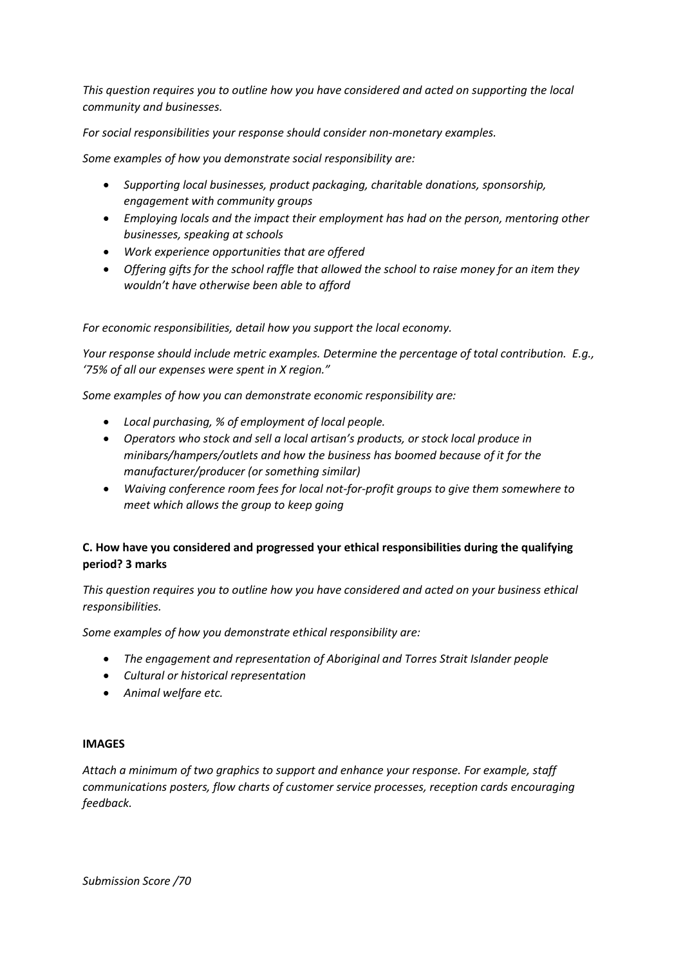*This question requires you to outline how you have considered and acted on supporting the local community and businesses.* 

*For social responsibilities your response should consider non-monetary examples.*

*Some examples of how you demonstrate social responsibility are:*

- *Supporting local businesses, product packaging, charitable donations, sponsorship, engagement with community groups*
- *Employing locals and the impact their employment has had on the person, mentoring other businesses, speaking at schools*
- *Work experience opportunities that are offered*
- *Offering gifts for the school raffle that allowed the school to raise money for an item they wouldn't have otherwise been able to afford*

*For economic responsibilities, detail how you support the local economy.*

*Your response should include metric examples. Determine the percentage of total contribution. E.g., '75% of all our expenses were spent in X region."* 

*Some examples of how you can demonstrate economic responsibility are:*

- *Local purchasing, % of employment of local people.*
- *Operators who stock and sell a local artisan's products, or stock local produce in minibars/hampers/outlets and how the business has boomed because of it for the manufacturer/producer (or something similar)*
- *Waiving conference room fees for local not-for-profit groups to give them somewhere to meet which allows the group to keep going*

# **C. How have you considered and progressed your ethical responsibilities during the qualifying period? 3 marks**

*This question requires you to outline how you have considered and acted on your business ethical responsibilities.*

*Some examples of how you demonstrate ethical responsibility are:*

- *The engagement and representation of Aboriginal and Torres Strait Islander people*
- *Cultural or historical representation*
- *Animal welfare etc.*

#### **IMAGES**

*Attach a minimum of two graphics to support and enhance your response. For example, staff communications posters, flow charts of customer service processes, reception cards encouraging feedback.*